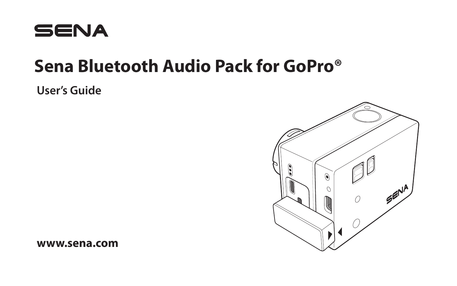

# **Sena Bluetooth Audio Pack for GoPro®**

**User's Guide**



**www.sena.com**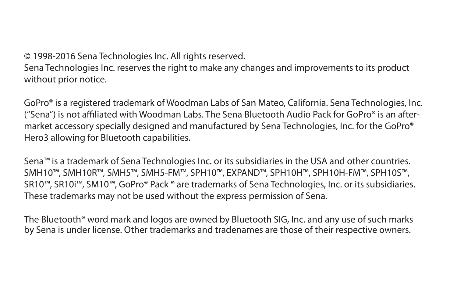© 1998-2016 Sena Technologies Inc. All rights reserved.

Sena Technologies Inc. reserves the right to make any changes and improvements to its product without prior notice.

GoPro® is a registered trademark of Woodman Labs of San Mateo, California. Sena Technologies, Inc. ("Sena") is not affiliated with Woodman Labs. The Sena Bluetooth Audio Pack for GoPro® is an aftermarket accessory specially designed and manufactured by Sena Technologies, Inc. for the GoPro® Hero3 allowing for Bluetooth capabilities.

Sena™ is a trademark of Sena Technologies Inc. or its subsidiaries in the USA and other countries. SMH10™, SMH10R™, SMH5™, SMH5-FM™, SPH10™, EXPAND™, SPH10H™, SPH10H-FM™, SPH10S™, SR10™, SR10i™, SM10™, GoPro® Pack™ are trademarks of Sena Technologies, Inc. or its subsidiaries. These trademarks may not be used without the express permission of Sena.

The Bluetooth® word mark and logos are owned by Bluetooth SIG, Inc. and any use of such marks by Sena is under license. Other trademarks and tradenames are those of their respective owners.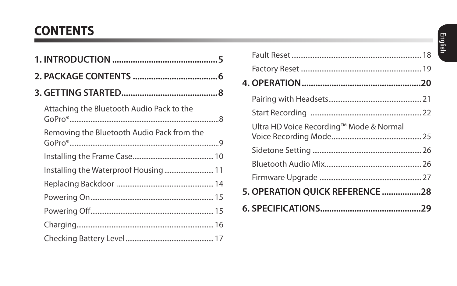# **CONTENTS**

| Attaching the Bluetooth Audio Pack to the  |  |
|--------------------------------------------|--|
| Removing the Bluetooth Audio Pack from the |  |
|                                            |  |
| Installing the Waterproof Housing 11       |  |
|                                            |  |
|                                            |  |
|                                            |  |
|                                            |  |
|                                            |  |

| Ultra HD Voice Recording™ Mode & Normal |  |
|-----------------------------------------|--|
|                                         |  |
|                                         |  |
|                                         |  |
| 5. OPERATION OUICK REFERENCE 28         |  |
|                                         |  |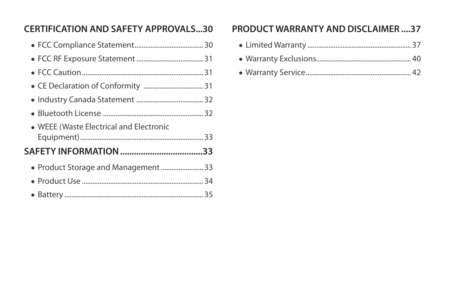## **[CERTIFICATION AND SAFETY APPROVALS ...30](#page-29-0) [PRODUCT WARRANTY AND DISCLAIMER ....37](#page-36-0)**

| • WEEE (Waste Electrical and Electronic |  |
|-----------------------------------------|--|
| SAFETY INFORMATION 33                   |  |
| · Product Storage and Management  33    |  |
|                                         |  |
|                                         |  |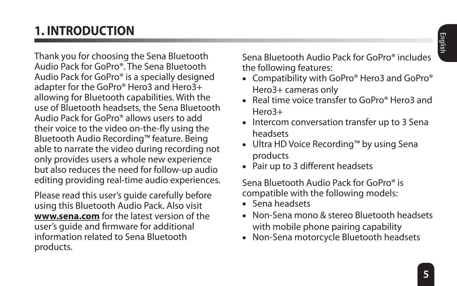# <span id="page-4-0"></span>**1. INTRODUCTION**

Thank you for choosing the Sena Bluetooth Audio Pack for GoPro®. The Sena Bluetooth Audio Pack for GoPro® is a specially designed adapter for the GoPro® Hero3 and Hero3+ allowing for Bluetooth capabilities. With the use of Bluetooth headsets, the Sena Bluetooth Audio Pack for GoPro® allows users to add their voice to the video on-the-fly using the Bluetooth Audio Recording™ feature. Being able to narrate the video during recording not only provides users a whole new experience but also reduces the need for follow-up audio editing providing real-time audio experiences.

Please read this user's guide carefully before using this Bluetooth Audio Pack. Also visit **<www.sena.com>** for the latest version of the user's guide and firmware for additional information related to Sena Bluetooth products.

Sena Bluetooth Audio Pack for GoPro® includes the following features:

- Compatibility with GoPro® Hero3 and GoPro® Hero3+ cameras only
- Real time voice transfer to GoPro® Hero3 and Hero3+
- Intercom conversation transfer up to 3 Sena headsets
- Ultra HD Voice Recording™ by using Sena products
- Pair up to 3 different headsets

Sena Bluetooth Audio Pack for GoPro® is compatible with the following models:

- Sena headsets
- Non-Sena mono & stereo Bluetooth headsets with mobile phone pairing capability
- Non-Sena motorcycle Bluetooth headsets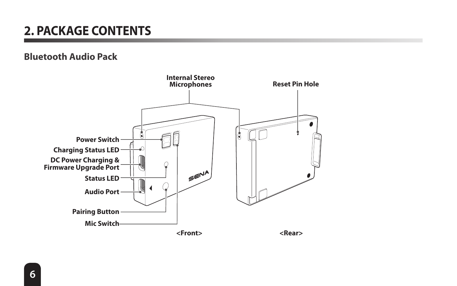# <span id="page-5-0"></span>**2. PACKAGE CONTENTS**

#### **Bluetooth Audio Pack**

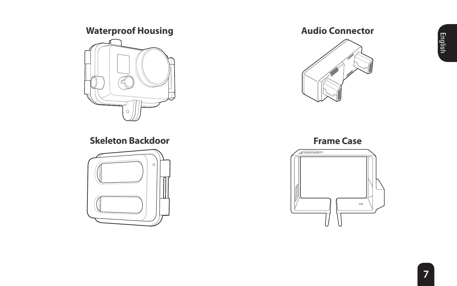## **Waterproof Housing**



**Skeleton Backdoor**



## **Audio Connector**



**Frame Case** 

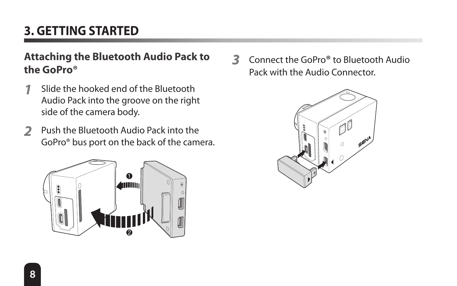# <span id="page-7-0"></span>**3. GETTING STARTED**

## **Attaching the Bluetooth Audio Pack to the GoPro®**

- **1** Slide the hooked end of the Bluetooth Audio Pack into the groove on the right side of the camera body.
- **2** Push the Bluetooth Audio Pack into the GoPro® bus port on the back of the camera.



**3** Connect the GoPro**®** to Bluetooth Audio Pack with the Audio Connector.

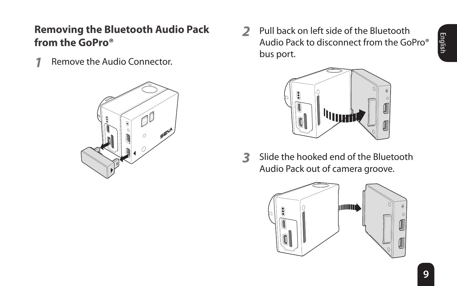## <span id="page-8-0"></span>**Removing the Bluetooth Audio Pack from the GoPro®**

**1** Remove the Audio Connector.



**2** Pull back on left side of the Bluetooth Audio Pack to disconnect from the GoPro® bus port.



**3** Slide the hooked end of the Bluetooth Audio Pack out of camera groove.

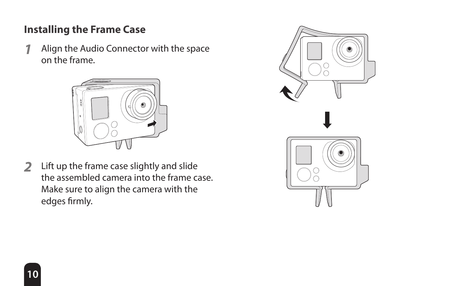## <span id="page-9-0"></span>**Installing the Frame Case**

**1** Align the Audio Connector with the space on the frame.



**2** Lift up the frame case slightly and slide the assembled camera into the frame case. Make sure to align the camera with the edges firmly.

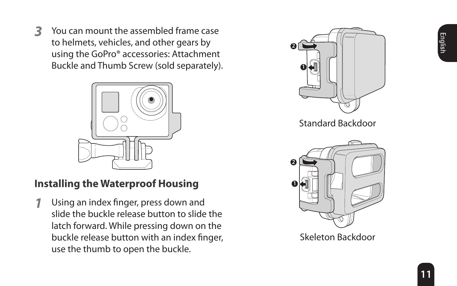<span id="page-10-0"></span>**3** You can mount the assembled frame case to helmets, vehicles, and other gears by using the GoPro® accessories: Attachment Buckle and Thumb Screw (sold separately).



## **Installing the Waterproof Housing**

**1** Using an index finger, press down and slide the buckle release button to slide the latch forward. While pressing down on the buckle release button with an index finger, use the thumb to open the buckle.

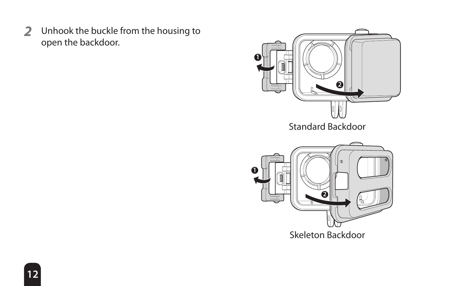Unhook the buckle from the housing to open the backdoor.

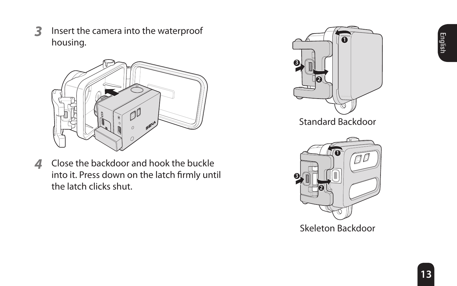**3** Insert the camera into the waterproof housing.



**4** Close the backdoor and hook the buckle into it. Press down on the latch firmly until the latch clicks shut.





**3**

Skeleton Backdoor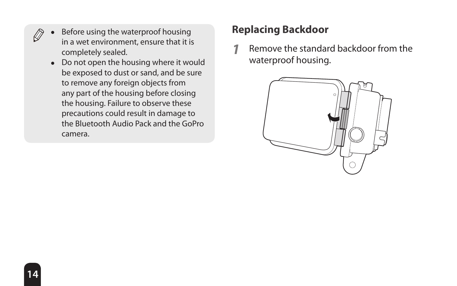- <span id="page-13-0"></span>Before using the waterproof housing in a wet environment, ensure that it is completely sealed.
	- Do not open the housing where it would be exposed to dust or sand, and be sure to remove any foreign objects from any part of the housing before closing the housing. Failure to observe these precautions could result in damage to the Bluetooth Audio Pack and the GoPro camera.

## **Replacing Backdoor**

**1** Remove the standard backdoor from the waterproof housing.

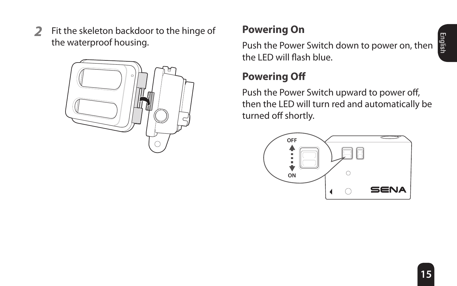<span id="page-14-0"></span>**2** Fit the skeleton backdoor to the hinge of the waterproof housing.



## **Powering On**

Push the Power Switch down to power on, then the LED will flash blue.

## **Powering Off**

Push the Power Switch upward to power off, then the LED will turn red and automatically be turned off shortly.

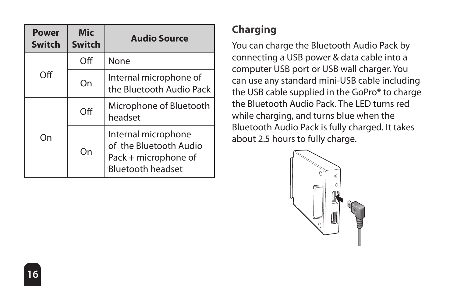<span id="page-15-0"></span>

| <b>Power</b><br>Switch | Mic<br><b>Switch</b> | <b>Audio Source</b>                                                                               |  |
|------------------------|----------------------|---------------------------------------------------------------------------------------------------|--|
|                        | Off                  | None                                                                                              |  |
| Off                    | On                   | Internal microphone of<br>the Bluetooth Audio Pack                                                |  |
|                        | Off                  | Microphone of Bluetooth<br>headset                                                                |  |
| Ωn                     | On                   | Internal microphone<br>of the Bluetooth Audio<br>Pack + microphone of<br><b>Bluetooth headset</b> |  |

## **Charging**

You can charge the Bluetooth Audio Pack by connecting a USB power & data cable into a computer USB port or USB wall charger. You can use any standard mini-USB cable including the USB cable supplied in the GoPro® to charge the Bluetooth Audio Pack. The LED turns red while charging, and turns blue when the Bluetooth Audio Pack is fully charged. It takes about 2.5 hours to fully charge.

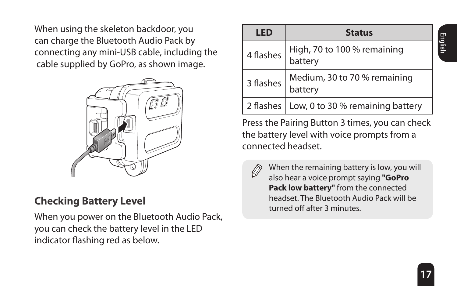<span id="page-16-0"></span>When using the skeleton backdoor, you can charge the Bluetooth Audio Pack by connecting any mini-USB cable, including the cable supplied by GoPro, as shown image.



## **Checking Battery Level**

When you power on the Bluetooth Audio Pack, you can check the battery level in the LED indicator flashing red as below.

| LED       | <b>Status</b>                                |  |  |  |
|-----------|----------------------------------------------|--|--|--|
| 4 flashes | High, 70 to 100 % remaining<br>battery       |  |  |  |
| 3 flashes | Medium, 30 to 70 % remaining<br>battery      |  |  |  |
|           | 2 flashes   Low, 0 to 30 % remaining battery |  |  |  |

Press the Pairing Button 3 times, you can check the battery level with voice prompts from a connected headset.

When the remaining battery is low, you will also hear a voice prompt saying **"GoPro Pack low battery"** from the connected headset. The Bluetooth Audio Pack will be turned off after 3 minutes.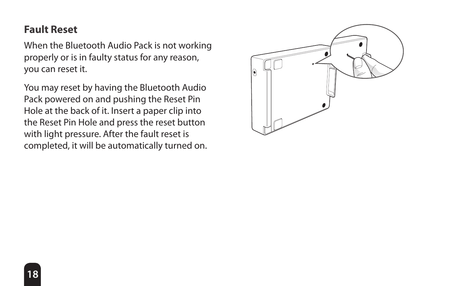## <span id="page-17-0"></span>**Fault Reset**

When the Bluetooth Audio Pack is not working properly or is in faulty status for any reason, you can reset it.

You may reset by having the Bluetooth Audio Pack powered on and pushing the Reset Pin Hole at the back of it. Insert a paper clip into the Reset Pin Hole and press the reset button with light pressure. After the fault reset is completed, it will be automatically turned on.

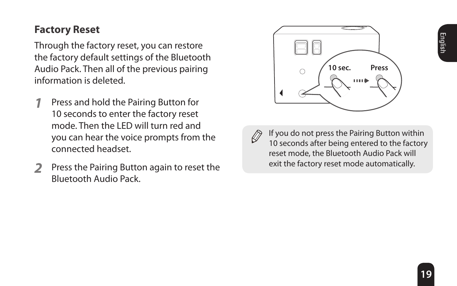## <span id="page-18-0"></span>**Factory Reset**

Through the factory reset, you can restore the factory default settings of the Bluetooth Audio Pack. Then all of the previous pairing information is deleted.

- **1** Press and hold the Pairing Button for 10 seconds to enter the factory reset mode. Then the LED will turn red and you can hear the voice prompts from the connected headset.
- **2** Press the Pairing Button again to reset the Bluetooth Audio Pack.





If you do not press the Pairing Button within 10 seconds after being entered to the factory reset mode, the Bluetooth Audio Pack will exit the factory reset mode automatically.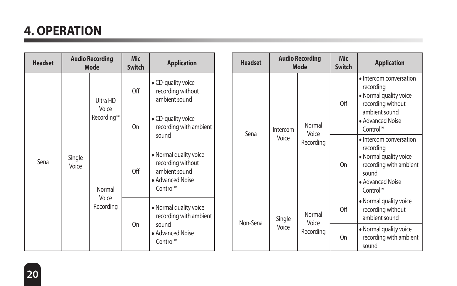# <span id="page-19-0"></span>**4. OPERATION**

| <b>Headset</b> | <b>Audio Recording</b><br>Mode                                                                                                                                                                                                                                                                                                                                                                                                             |  | Mic<br>Switch | <b>Application</b> |    | <b>Headset</b>                                            |                 | <b>Audio Recording</b><br>Mode | <b>Mic</b><br>Switch                          | <b>Application</b> |                                                              |                                                                                                                                   |
|----------------|--------------------------------------------------------------------------------------------------------------------------------------------------------------------------------------------------------------------------------------------------------------------------------------------------------------------------------------------------------------------------------------------------------------------------------------------|--|---------------|--------------------|----|-----------------------------------------------------------|-----------------|--------------------------------|-----------------------------------------------|--------------------|--------------------------------------------------------------|-----------------------------------------------------------------------------------------------------------------------------------|
| Sena           | • CD-quality voice<br>Off<br>recording without<br>ambient sound<br>Ultra HD<br>Voice<br>Recording™<br>• CD-quality voice<br>recording with ambient<br>On<br>sound<br>• Normal quality voice<br>Single<br>recording without<br>Voice<br>Off<br>ambient sound<br>· Advanced Noise<br>Control™<br>Normal<br>Voice<br>Recording<br>• Normal quality voice<br>recording with ambient<br>O <sub>n</sub><br>sound<br>· Advanced Noise<br>Control™ |  |               |                    |    | Intercom<br>Sena                                          |                 |                                |                                               |                    | Off                                                          | · Intercom conversation<br>recording<br>· Normal quality voice<br>recording without                                               |
|                |                                                                                                                                                                                                                                                                                                                                                                                                                                            |  |               |                    |    |                                                           | Normal<br>Voice |                                | ambient sound<br>· Advanced Noise<br>Control™ |                    |                                                              |                                                                                                                                   |
|                |                                                                                                                                                                                                                                                                                                                                                                                                                                            |  |               |                    |    |                                                           |                 |                                | Voice                                         | Recording          | On                                                           | · Intercom conversation<br>recording<br>· Normal quality voice<br>recording with ambient<br>sound<br>· Advanced Noise<br>Control™ |
|                |                                                                                                                                                                                                                                                                                                                                                                                                                                            |  |               |                    |    |                                                           | Non-Sena        | Single                         | Normal<br>Voice                               | Off                | · Normal quality voice<br>recording without<br>ambient sound |                                                                                                                                   |
|                |                                                                                                                                                                                                                                                                                                                                                                                                                                            |  | Voice         | Recording          | On | · Normal quality voice<br>recording with ambient<br>sound |                 |                                |                                               |                    |                                                              |                                                                                                                                   |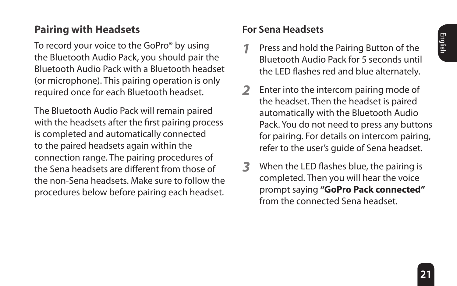## <span id="page-20-0"></span>**Pairing with Headsets**

To record your voice to the GoPro® by using the Bluetooth Audio Pack, you should pair the Bluetooth Audio Pack with a Bluetooth headset (or microphone). This pairing operation is only required once for each Bluetooth headset.

The Bluetooth Audio Pack will remain paired with the headsets after the first pairing process is completed and automatically connected to the paired headsets again within the connection range. The pairing procedures of the Sena headsets are different from those of the non-Sena headsets. Make sure to follow the procedures below before pairing each headset.

## **For Sena Headsets**

- **1** Press and hold the Pairing Button of the Bluetooth Audio Pack for 5 seconds until the LED flashes red and blue alternately.
- **2** Enter into the intercom pairing mode of the headset. Then the headset is paired automatically with the Bluetooth Audio Pack. You do not need to press any buttons for pairing. For details on intercom pairing, refer to the user's guide of Sena headset.
- **3** When the LED flashes blue, the pairing is completed. Then you will hear the voice prompt saying **"GoPro Pack connected"**  from the connected Sena headset.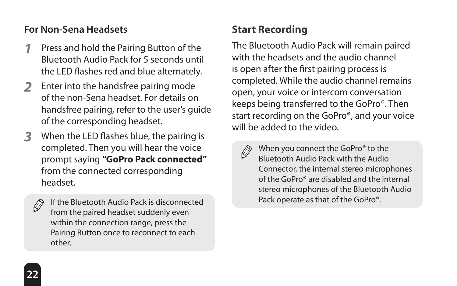## <span id="page-21-0"></span>**For Non-Sena Headsets**

- **1** Press and hold the Pairing Button of the Bluetooth Audio Pack for 5 seconds until the LED flashes red and blue alternately.
- **2** Enter into the handsfree pairing mode of the non-Sena headset. For details on handsfree pairing, refer to the user's guide of the corresponding headset.
- **3** When the LED flashes blue, the pairing is completed. Then you will hear the voice prompt saying **"GoPro Pack connected"** from the connected corresponding headset.
	- Ø

If the Bluetooth Audio Pack is disconnected from the paired headset suddenly even within the connection range, press the Pairing Button once to reconnect to each other.

## **Start Recording**

The Bluetooth Audio Pack will remain paired with the headsets and the audio channel is open after the first pairing process is completed. While the audio channel remains open, your voice or intercom conversation keeps being transferred to the GoPro®. Then start recording on the GoPro®, and your voice will be added to the video.

D

When you connect the GoPro® to the Bluetooth Audio Pack with the Audio Connector, the internal stereo microphones of the GoPro® are disabled and the internal stereo microphones of the Bluetooth Audio Pack operate as that of the GoPro®.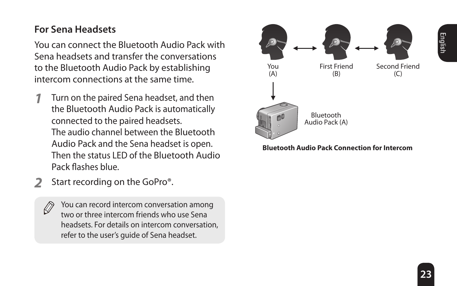## **For Sena Headsets**

You can connect the Bluetooth Audio Pack with Sena headsets and transfer the conversations to the Bluetooth Audio Pack by establishing intercom connections at the same time.

- **1** Turn on the paired Sena headset, and then the Bluetooth Audio Pack is automatically connected to the paired headsets. The audio channel between the Bluetooth Audio Pack and the Sena headset is open. Then the status LED of the Bluetooth Audio Pack flashes blue.
- **2** Start recording on the GoPro®.

You can record intercom conversation among two or three intercom friends who use Sena headsets. For details on intercom conversation, refer to the user's guide of Sena headset.



**Bluetooth Audio Pack Connection for Intercom**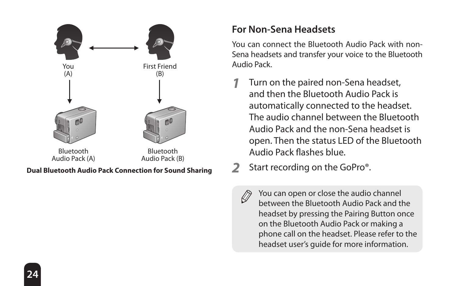

## **For Non-Sena Headsets**

You can connect the Bluetooth Audio Pack with non-Sena headsets and transfer your voice to the Bluetooth Audio Pack.

- **1** Turn on the paired non-Sena headset, and then the Bluetooth Audio Pack is automatically connected to the headset. The audio channel between the Bluetooth Audio Pack and the non-Sena headset is open. Then the status LED of the Bluetooth Audio Pack flashes blue.
- **2** Start recording on the GoPro®.
- 

You can open or close the audio channel between the Bluetooth Audio Pack and the headset by pressing the Pairing Button once on the Bluetooth Audio Pack or making a phone call on the headset. Please refer to the headset user's guide for more information.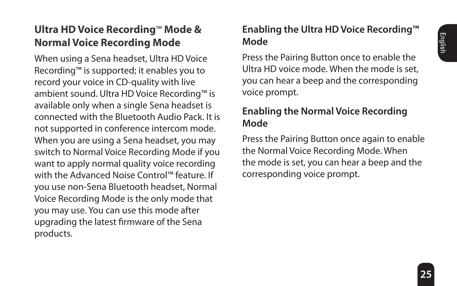## <span id="page-24-0"></span>**Ultra HD Voice Recording**™ **Mode & Normal Voice Recording Mode**

When using a Sena headset, Ultra HD Voice Recording™ is supported; it enables you to record your voice in CD-quality with live ambient sound. Ultra HD Voice Recording™ is available only when a single Sena headset is connected with the Bluetooth Audio Pack. It is not supported in conference intercom mode. When you are using a Sena headset, you may switch to Normal Voice Recording Mode if you want to apply normal quality voice recording with the Advanced Noise Control™ feature. If you use non-Sena Bluetooth headset, Normal Voice Recording Mode is the only mode that you may use. You can use this mode after upgrading the latest firmware of the Sena products.

## **Enabling the Ultra HD Voice Recording™ Mode**

Press the Pairing Button once to enable the Ultra HD voice mode. When the mode is set, you can hear a beep and the corresponding voice prompt.

## **Enabling the Normal Voice Recording Mode**

Press the Pairing Button once again to enable the Normal Voice Recording Mode. When the mode is set, you can hear a beep and the corresponding voice prompt.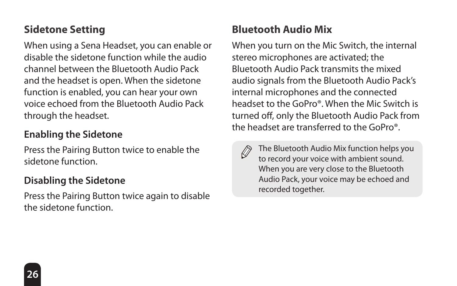## <span id="page-25-0"></span>**Sidetone Setting**

When using a Sena Headset, you can enable or disable the sidetone function while the audio channel between the Bluetooth Audio Pack and the headset is open. When the sidetone function is enabled, you can hear your own voice echoed from the Bluetooth Audio Pack through the headset.

## **Enabling the Sidetone**

Press the Pairing Button twice to enable the sidetone function.

## **Disabling the Sidetone**

Press the Pairing Button twice again to disable the sidetone function.

## **Bluetooth Audio Mix**

When you turn on the Mic Switch, the internal stereo microphones are activated; the Bluetooth Audio Pack transmits the mixed audio signals from the Bluetooth Audio Pack's internal microphones and the connected headset to the GoPro®. When the Mic Switch is turned off, only the Bluetooth Audio Pack from the headset are transferred to the GoPro®.

Ø

The Bluetooth Audio Mix function helps you to record your voice with ambient sound. When you are very close to the Bluetooth Audio Pack, your voice may be echoed and recorded together.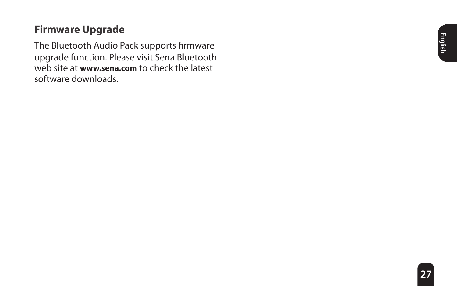## <span id="page-26-0"></span>**Firmware Upgrade**

The Bluetooth Audio Pack supports firmware upgrade function. Please visit Sena Bluetooth web site at **<www.sena.com>** to check the latest software downloads.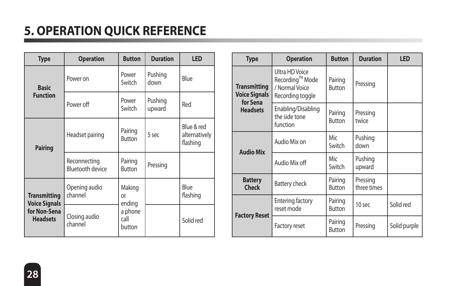# <span id="page-27-0"></span>**5. OPERATION QUICK REFERENCE**

| <b>Type</b>                                 | <b>Operation</b>                        | <b>Button</b>             | <b>Duration</b>   | LED                                     |
|---------------------------------------------|-----------------------------------------|---------------------------|-------------------|-----------------------------------------|
| <b>Basic</b>                                | Power on                                | Power<br>Switch           | Pushing<br>down   | Blue                                    |
| <b>Function</b>                             | Power off                               | Power<br>Switch           | Pushing<br>upward | Red                                     |
| Pairing                                     | Headset pairing                         | Pairing<br><b>Button</b>  | 5 sec             | Blue & red<br>alternatively<br>flashing |
|                                             | Reconnecting<br><b>Bluetooth device</b> | Pairing<br><b>Button</b>  | Pressing          |                                         |
| <b>Transmitting</b><br><b>Voice Signals</b> | Opening audio<br>channel                | Making<br>or<br>ending    |                   | Blue<br>flashing                        |
| for Non-Sena<br><b>Headsets</b>             | Closing audio<br>channel                | a phone<br>call<br>button |                   | Solid red                               |

| <b>Type</b>                                             | <b>Operation</b>                                                        | <b>Button</b>            | <b>Duration</b>         | LED          |
|---------------------------------------------------------|-------------------------------------------------------------------------|--------------------------|-------------------------|--------------|
| <b>Transmitting</b><br><b>Voice Signals</b><br>for Sena | Ultra HD Voice<br>Recording™ Mode<br>/ Normal Voice<br>Recording toggle | Pairing<br><b>Button</b> | Pressing                |              |
| <b>Headsets</b>                                         | Enabling/Disabling<br>the side tone<br>function                         | Pairing<br><b>Button</b> | Pressing<br>twice       |              |
| <b>Audio Mix</b>                                        | Audio Mix on                                                            | Mic<br>Switch            | Pushing<br>down         |              |
|                                                         | Audio Mix off                                                           | Mic<br>Switch            | Pushing<br>upward       |              |
| <b>Battery</b><br><b>Check</b>                          | Battery check                                                           | Pairing<br><b>Button</b> | Pressing<br>three times |              |
| <b>Factory Reset</b>                                    | <b>Entering factory</b><br>reset mode                                   | Pairing<br><b>Button</b> | 10 sec                  | Solid red    |
|                                                         | <b>Factory reset</b>                                                    | Pairing<br>Button        | Pressing                | Solid purple |

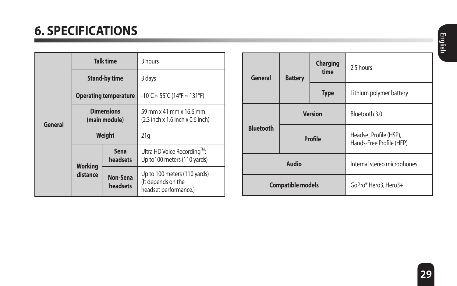# <span id="page-28-0"></span>**6. SPECIFICATIONS**

|         | <b>Talk time</b>                   |                      | 3 hours                                                                     |  |
|---------|------------------------------------|----------------------|-----------------------------------------------------------------------------|--|
|         | <b>Stand-by time</b>               |                      | 3 days                                                                      |  |
|         | <b>Operating temperature</b>       |                      | $-10^{\circ}$ C ~ 55 $^{\circ}$ C (14 $^{\circ}$ F ~ 131 $^{\circ}$ F)      |  |
| General | <b>Dimensions</b><br>(main module) |                      | 59 mm x 41 mm x 16.6 mm<br>(2.3 inch x 1.6 inch x 0.6 inch)                 |  |
|         | Weight                             |                      | 21q                                                                         |  |
|         | Working<br>distance                | Sena<br>headsets     | Ultra HD Voice Recording™:<br>Up to 100 meters (110 yards)                  |  |
|         |                                    | Non-Sena<br>headsets | Up to 100 meters (110 yards)<br>(It depends on the<br>headset performance.) |  |

| General          | <b>Battery</b>           | Charging<br>time | 2.5 hours                                          |  |
|------------------|--------------------------|------------------|----------------------------------------------------|--|
|                  |                          | <b>Type</b>      | Lithium polymer battery                            |  |
|                  |                          | <b>Version</b>   | Bluetooth 3.0                                      |  |
| <b>Bluetooth</b> | Profile                  |                  | Headset Profile (HSP).<br>Hands-Free Profile (HFP) |  |
|                  | Audio                    |                  | Internal stereo microphones                        |  |
|                  | <b>Compatible models</b> |                  | GoPro® Hero3. Hero3+                               |  |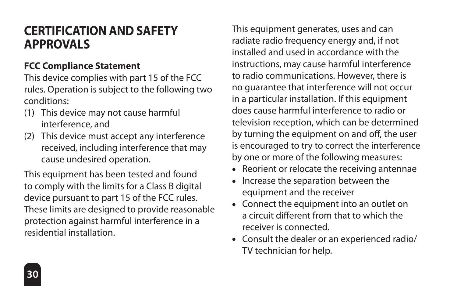## <span id="page-29-0"></span>**CERTIFICATION AND SAFETY APPROVALS**

#### **FCC Compliance Statement**

This device complies with part 15 of the FCC rules. Operation is subject to the following two conditions:

- (1) This device may not cause harmful interference, and
- (2) This device must accept any interference received, including interference that may cause undesired operation.

This equipment has been tested and found to comply with the limits for a Class B digital device pursuant to part 15 of the FCC rules. These limits are designed to provide reasonable protection against harmful interference in a residential installation.

This equipment generates, uses and can radiate radio frequency energy and, if not installed and used in accordance with the instructions, may cause harmful interference to radio communications. However, there is no guarantee that interference will not occur in a particular installation. If this equipment does cause harmful interference to radio or television reception, which can be determined by turning the equipment on and off, the user is encouraged to try to correct the interference by one or more of the following measures:

- Reorient or relocate the receiving antennae
- Increase the separation between the equipment and the receiver
- Connect the equipment into an outlet on a circuit different from that to which the receiver is connected.
- Consult the dealer or an experienced radio/ TV technician for help.

**30**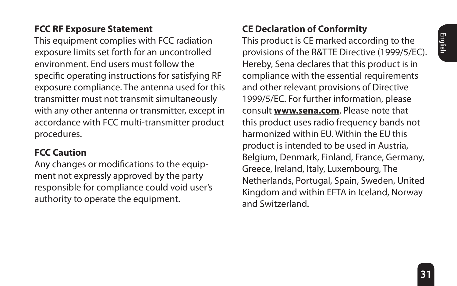#### <span id="page-30-0"></span>**FCC RF Exposure Statement**

This equipment complies with FCC radiation exposure limits set forth for an uncontrolled environment. End users must follow the specific operating instructions for satisfying RF exposure compliance. The antenna used for this transmitter must not transmit simultaneously with any other antenna or transmitter, except in accordance with FCC multi-transmitter product procedures.

#### **FCC Caution**

Any changes or modifications to the equipment not expressly approved by the party responsible for compliance could void user's authority to operate the equipment.

## **CE Declaration of Conformity**

This product is CE marked according to the provisions of the R&TTE Directive (1999/5/EC). Hereby, Sena declares that this product is in compliance with the essential requirements and other relevant provisions of Directive 1999/5/EC. For further information, please consult **<www.sena.com>**. Please note that this product uses radio frequency bands not harmonized within EU. Within the EU this product is intended to be used in Austria, Belgium, Denmark, Finland, France, Germany, Greece, Ireland, Italy, Luxembourg, The Netherlands, Portugal, Spain, Sweden, United Kingdom and within EFTA in Iceland, Norway and Switzerland.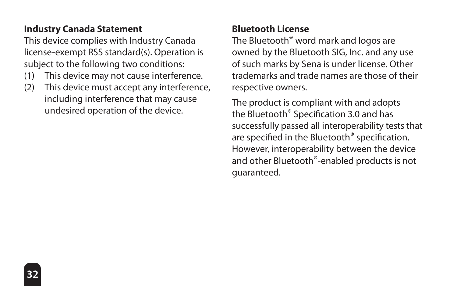## <span id="page-31-0"></span>**Industry Canada Statement**

This device complies with Industry Canada license-exempt RSS standard(s). Operation is subject to the following two conditions:

- (1) This device may not cause interference.
- (2) This device must accept any interference, including interference that may cause undesired operation of the device.

### **Bluetooth License**

The Bluetooth® word mark and logos are owned by the Bluetooth SIG, Inc. and any use of such marks by Sena is under license. Other trademarks and trade names are those of their respective owners.

The product is compliant with and adopts the Bluetooth® Specification 3.0 and has successfully passed all interoperability tests that are specified in the Bluetooth® specification. However, interoperability between the device and other Bluetooth®-enabled products is not guaranteed.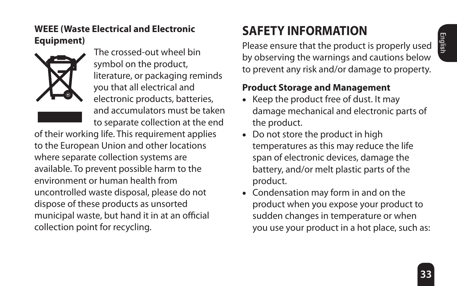#### <span id="page-32-0"></span>**WEEE (Waste Electrical and Electronic Equipment)**



 The crossed-out wheel bin symbol on the product, literature, or packaging reminds you that all electrical and electronic products, batteries, and accumulators must be taken to separate collection at the end

of their working life. This requirement applies to the European Union and other locations where separate collection systems are available. To prevent possible harm to the environment or human health from uncontrolled waste disposal, please do not dispose of these products as unsorted municipal waste, but hand it in at an official collection point for recycling.

# **SAFETY INFORMATION**

Please ensure that the product is properly used by observing the warnings and cautions below to prevent any risk and/or damage to property.

### **Product Storage and Management**

- Keep the product free of dust. It may damage mechanical and electronic parts of the product.
- Do not store the product in high temperatures as this may reduce the life span of electronic devices, damage the battery, and/or melt plastic parts of the product.
- Condensation may form in and on the product when you expose your product to sudden changes in temperature or when you use your product in a hot place, such as: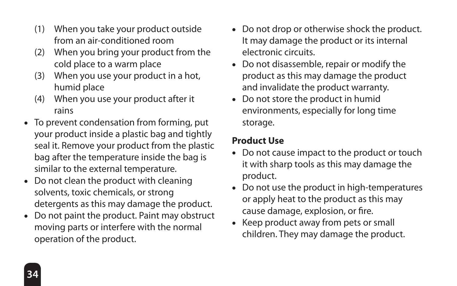- <span id="page-33-0"></span>(1) When you take your product outside from an air-conditioned room
- (2) When you bring your product from the cold place to a warm place
- (3) When you use your product in a hot, humid place
- (4) When you use your product after it rains
- To prevent condensation from forming, put your product inside a plastic bag and tightly seal it. Remove your product from the plastic bag after the temperature inside the bag is similar to the external temperature.
- Do not clean the product with cleaning solvents, toxic chemicals, or strong detergents as this may damage the product.
- Do not paint the product. Paint may obstruct moving parts or interfere with the normal operation of the product.
- Do not drop or otherwise shock the product. It may damage the product or its internal electronic circuits.
- Do not disassemble, repair or modify the product as this may damage the product and invalidate the product warranty.
- Do not store the product in humid environments, especially for long time storage.

## **Product Use**

- Do not cause impact to the product or touch it with sharp tools as this may damage the product.
- Do not use the product in high-temperatures or apply heat to the product as this may cause damage, explosion, or fire.
- Keep product away from pets or small children. They may damage the product.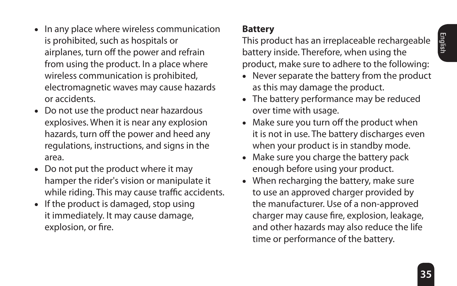- <span id="page-34-0"></span>• In any place where wireless communication is prohibited, such as hospitals or airplanes, turn off the power and refrain from using the product. In a place where wireless communication is prohibited, electromagnetic waves may cause hazards or accidents.
- Do not use the product near hazardous explosives. When it is near any explosion hazards, turn off the power and heed any regulations, instructions, and signs in the area.
- Do not put the product where it may hamper the rider's vision or manipulate it while riding. This may cause traffic accidents.
- If the product is damaged, stop using it immediately. It may cause damage, explosion, or fire.

## **Battery**

This product has an irreplaceable rechargeable battery inside. Therefore, when using the product, make sure to adhere to the following:

- Never separate the battery from the product as this may damage the product.
- The battery performance may be reduced over time with usage.
- Make sure you turn off the product when it is not in use. The battery discharges even when your product is in standby mode.
- Make sure you charge the battery pack enough before using your product.
- When recharging the battery, make sure to use an approved charger provided by the manufacturer. Use of a non-approved charger may cause fire, explosion, leakage, and other hazards may also reduce the life time or performance of the battery.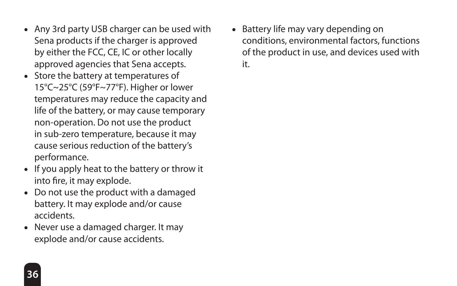- Any 3rd party USB charger can be used with Sena products if the charger is approved by either the FCC, CE, IC or other locally approved agencies that Sena accepts.
- Store the battery at temperatures of 15°C~25°C (59°F~77°F). Higher or lower temperatures may reduce the capacity and life of the battery, or may cause temporary non-operation. Do not use the product in sub-zero temperature, because it may cause serious reduction of the battery's performance.
- If you apply heat to the battery or throw it into fire, it may explode.
- Do not use the product with a damaged battery. It may explode and/or cause accidents.
- Never use a damaged charger. It may explode and/or cause accidents.

• Battery life may vary depending on conditions, environmental factors, functions of the product in use, and devices used with it.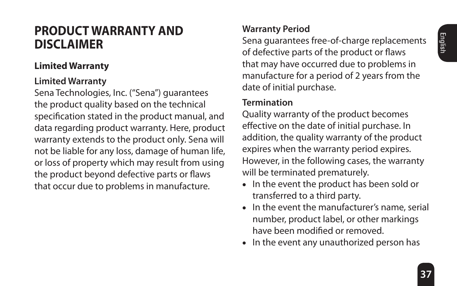## <span id="page-36-0"></span>**PRODUCT WARRANTY AND DISCLAIMER**

#### **Limited Warranty**

#### **Limited Warranty**

Sena Technologies, Inc. ("Sena") guarantees the product quality based on the technical specification stated in the product manual, and data regarding product warranty. Here, product warranty extends to the product only. Sena will not be liable for any loss, damage of human life, or loss of property which may result from using the product beyond defective parts or flaws that occur due to problems in manufacture.

## **Warranty Period**

Sena guarantees free-of-charge replacements of defective parts of the product or flaws that may have occurred due to problems in manufacture for a period of 2 years from the date of initial purchase.

#### **Termination**

Quality warranty of the product becomes effective on the date of initial purchase. In addition, the quality warranty of the product expires when the warranty period expires. However, in the following cases, the warranty will be terminated prematurely.

- In the event the product has been sold or transferred to a third party.
- In the event the manufacturer's name, serial number, product label, or other markings have been modified or removed.
- In the event any unauthorized person has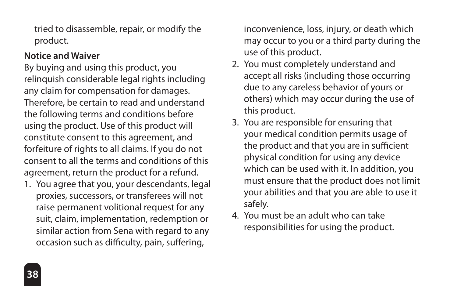tried to disassemble, repair, or modify the product.

#### **Notice and Waiver**

By buying and using this product, you relinquish considerable legal rights including any claim for compensation for damages. Therefore, be certain to read and understand the following terms and conditions before using the product. Use of this product will constitute consent to this agreement, and forfeiture of rights to all claims. If you do not consent to all the terms and conditions of this agreement, return the product for a refund.

1. You agree that you, your descendants, legal proxies, successors, or transferees will not raise permanent volitional request for any suit, claim, implementation, redemption or similar action from Sena with regard to any occasion such as difficulty, pain, suffering,

inconvenience, loss, injury, or death which may occur to you or a third party during the use of this product.

- 2. You must completely understand and accept all risks (including those occurring due to any careless behavior of yours or others) which may occur during the use of this product.
- 3. You are responsible for ensuring that your medical condition permits usage of the product and that you are in sufficient physical condition for using any device which can be used with it. In addition, you must ensure that the product does not limit your abilities and that you are able to use it safely.
- 4. You must be an adult who can take responsibilities for using the product.

**38**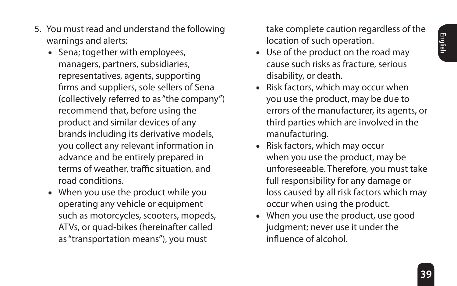- 5. You must read and understand the following warnings and alerts:
	- Sena; together with employees, managers, partners, subsidiaries, representatives, agents, supporting firms and suppliers, sole sellers of Sena (collectively referred to as "the company") recommend that, before using the product and similar devices of any brands including its derivative models, you collect any relevant information in advance and be entirely prepared in terms of weather, traffic situation, and road conditions.
	- When you use the product while you operating any vehicle or equipment such as motorcycles, scooters, mopeds, ATVs, or quad-bikes (hereinafter called as "transportation means"), you must

take complete caution regardless of the location of such operation.

- Use of the product on the road may cause such risks as fracture, serious disability, or death.
- Risk factors, which may occur when you use the product, may be due to errors of the manufacturer, its agents, or third parties which are involved in the manufacturing.
- Risk factors, which may occur when you use the product, may be unforeseeable. Therefore, you must take full responsibility for any damage or loss caused by all risk factors which may occur when using the product.
- When you use the product, use good judgment; never use it under the influence of alcohol.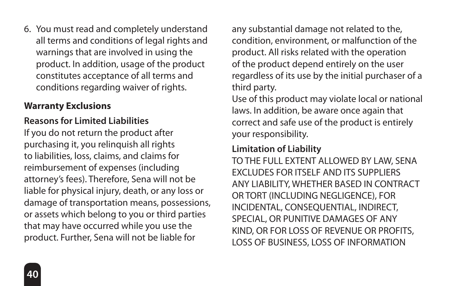<span id="page-39-0"></span>6. You must read and completely understand all terms and conditions of legal rights and warnings that are involved in using the product. In addition, usage of the product constitutes acceptance of all terms and conditions regarding waiver of rights.

#### **Warranty Exclusions**

## **Reasons for Limited Liabilities**

If you do not return the product after purchasing it, you relinquish all rights to liabilities, loss, claims, and claims for reimbursement of expenses (including attorney's fees). Therefore, Sena will not be liable for physical injury, death, or any loss or damage of transportation means, possessions, or assets which belong to you or third parties that may have occurred while you use the product. Further, Sena will not be liable for

any substantial damage not related to the, condition, environment, or malfunction of the product. All risks related with the operation of the product depend entirely on the user regardless of its use by the initial purchaser of a third party.

Use of this product may violate local or national laws. In addition, be aware once again that correct and safe use of the product is entirely your responsibility.

#### **Limitation of Liability**

TO THE FULL EXTENT ALLOWED BY LAW, SENA EXCLUDES FOR ITSELF AND ITS SUPPLIERS ANY LIABILITY, WHETHER BASED IN CONTRACT OR TORT (INCLUDING NEGLIGENCE), FOR INCIDENTAL, CONSEQUENTIAL, INDIRECT, SPECIAL, OR PUNITIVE DAMAGES OF ANY KIND, OR FOR LOSS OF REVENUE OR PROFITS, LOSS OF BUSINESS, LOSS OF INFORMATION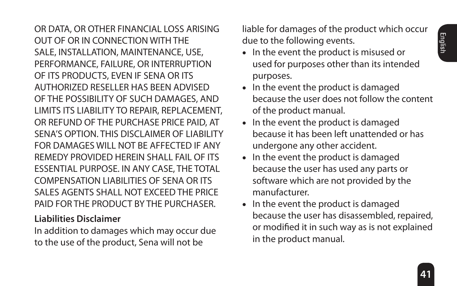OR DATA, OR OTHER FINANCIAL LOSS ARISING OUT OF OR IN CONNECTION WITH THE SALE, INSTALLATION, MAINTENANCE, USE, PERFORMANCE, FAILURE, OR INTERRUPTION OF ITS PRODUCTS, EVEN IF SENA OR ITS AUTHORIZED RESELLER HAS BEEN ADVISED OF THE POSSIBILITY OF SUCH DAMAGES, AND LIMITS ITS LIABILITY TO REPAIR, REPLACEMENT, OR REFUND OF THE PURCHASE PRICE PAID, AT SENA'S OPTION. THIS DISCLAIMER OF LIABILITY FOR DAMAGES WILL NOT BE AFFECTED IF ANY REMEDY PROVIDED HEREIN SHALL FAIL OF ITS ESSENTIAL PURPOSE. IN ANY CASE, THE TOTAL COMPENSATION LIABILITIES OF SENA OR ITS SALES AGENTS SHALL NOT EXCEED THE PRICE PAID FOR THE PRODUCT BY THE PURCHASER.

#### **Liabilities Disclaimer**

In addition to damages which may occur due to the use of the product, Sena will not be

liable for damages of the product which occur due to the following events.

- In the event the product is misused or used for purposes other than its intended purposes.
- In the event the product is damaged because the user does not follow the content of the product manual.
- In the event the product is damaged because it has been left unattended or has undergone any other accident.
- In the event the product is damaged because the user has used any parts or software which are not provided by the manufacturer.
- In the event the product is damaged because the user has disassembled, repaired, or modified it in such way as is not explained in the product manual.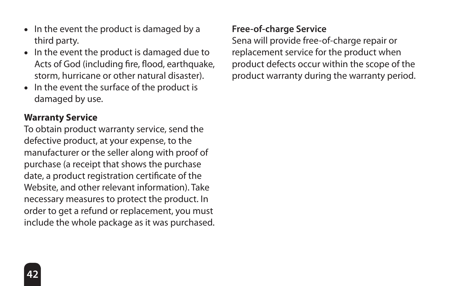- <span id="page-41-0"></span>• In the event the product is damaged by a third party.
- In the event the product is damaged due to Acts of God (including fire, flood, earthquake, storm, hurricane or other natural disaster).
- In the event the surface of the product is damaged by use.

#### **Warranty Service**

To obtain product warranty service, send the defective product, at your expense, to the manufacturer or the seller along with proof of purchase (a receipt that shows the purchase date, a product registration certificate of the Website, and other relevant information). Take necessary measures to protect the product. In order to get a refund or replacement, you must include the whole package as it was purchased.

#### **Free-of-charge Service**

Sena will provide free-of-charge repair or replacement service for the product when product defects occur within the scope of the product warranty during the warranty period.